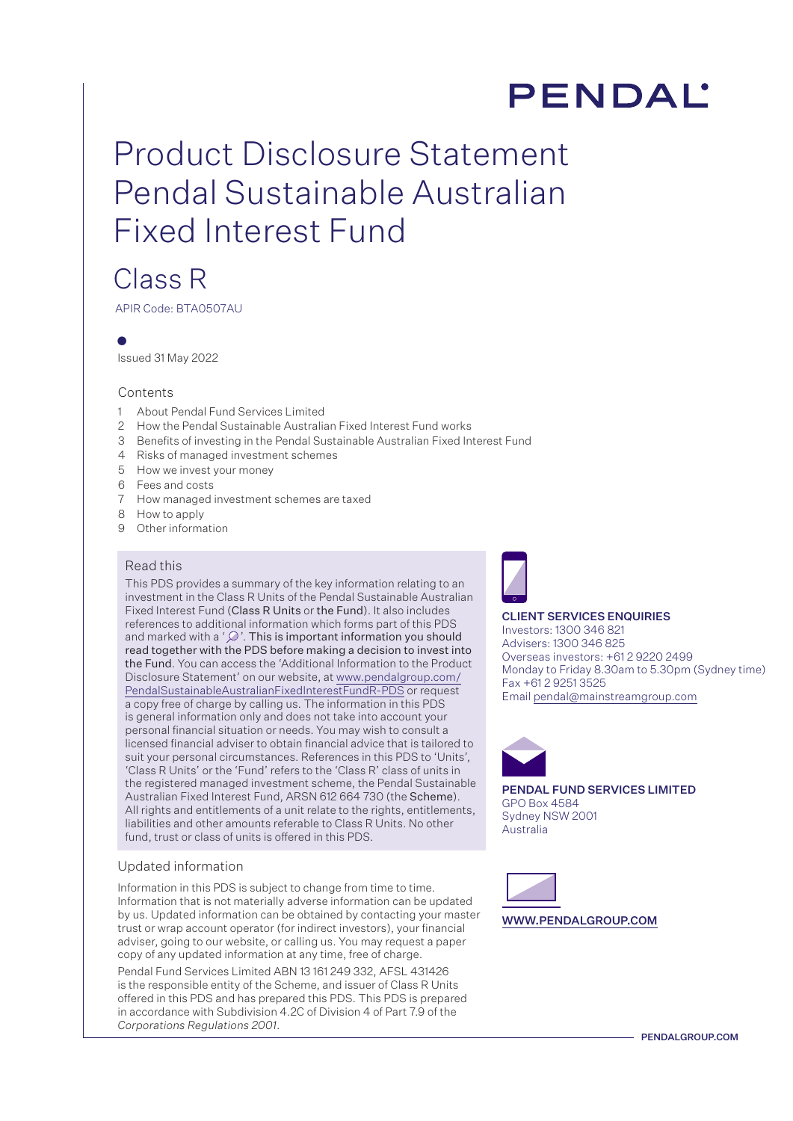# **PENDAL**

# Product Disclosure Statement Pendal Sustainable Australian Fixed Interest Fund

# Class R

APIR Code: BTA0507AU

Issued 31 May 2022

## Contents

- 1 About Pendal Fund Services Limited
- 2 How the Pendal Sustainable Australian Fixed Interest Fund works
- 3 Benefits of investing in the Pendal Sustainable Australian Fixed Interest Fund
- 4 Risks of managed investment schemes
- 5 How we invest your money
- 6 Fees and costs
- 7 How managed investment schemes are taxed
- 8 How to apply
- 9 Other information

## Read this

This PDS provides a summary of the key information relating to an investment in the Class R Units of the Pendal Sustainable Australian Fixed Interest Fund (Class R Units or the Fund). It also includes references to additional information which forms part of this PDS and marked with a ' $\mathcal{D}$ '. This is important information you should read together with the PDS before making a decision to invest into the Fund. You can access the 'Additional Information to the Product Disclosure Statement' on our website, at [www.pendalgroup.com/](http://www.pendalgroup.com/PendalSustainableAustralianFixedInterestFundR-PDS) [PendalSustainableAustralianFixedInterestFundR-PDS](http://www.pendalgroup.com/PendalSustainableAustralianFixedInterestFundR-PDS) or request a copy free of charge by calling us. The information in this PDS is general information only and does not take into account your personal financial situation or needs. You may wish to consult a licensed financial adviser to obtain financial advice that is tailored to suit your personal circumstances. References in this PDS to 'Units', 'Class R Units' or the 'Fund' refers to the 'Class R' class of units in the registered managed investment scheme, the Pendal Sustainable Australian Fixed Interest Fund, ARSN 612 664 730 (the Scheme). All rights and entitlements of a unit relate to the rights, entitlements, liabilities and other amounts referable to Class R Units. No other fund, trust or class of units is offered in this PDS.

## Updated information

Information in this PDS is subject to change from time to time. Information that is not materially adverse information can be updated by us. Updated information can be obtained by contacting your master trust or wrap account operator (for indirect investors), your financial adviser, going to our website, or calling us. You may request a paper copy of any updated information at any time, free of charge.

Pendal Fund Services Limited ABN 13 161 249 332, AFSL 431426 is the responsible entity of the Scheme, and issuer of Class R Units offered in this PDS and has prepared this PDS. This PDS is prepared in accordance with Subdivision 4.2C of Division 4 of Part 7.9 of the *Corporations Regulations 2001*.



#### CLIENT SERVICES ENQUIRIES Investors: 1300 346 821 Advisers: 1300 346 825 Overseas investors: +61 2 9220 2499 Monday to Friday 8.30am to 5.30pm (Sydney time) Fax +61 2 9251 3525 Email pendal@mainstreamgroup.com



PENDAL FUND SERVICES LIMITED GPO Box 4584 Sydney NSW 2001 Australia



WWW.PENDALGROUP.COM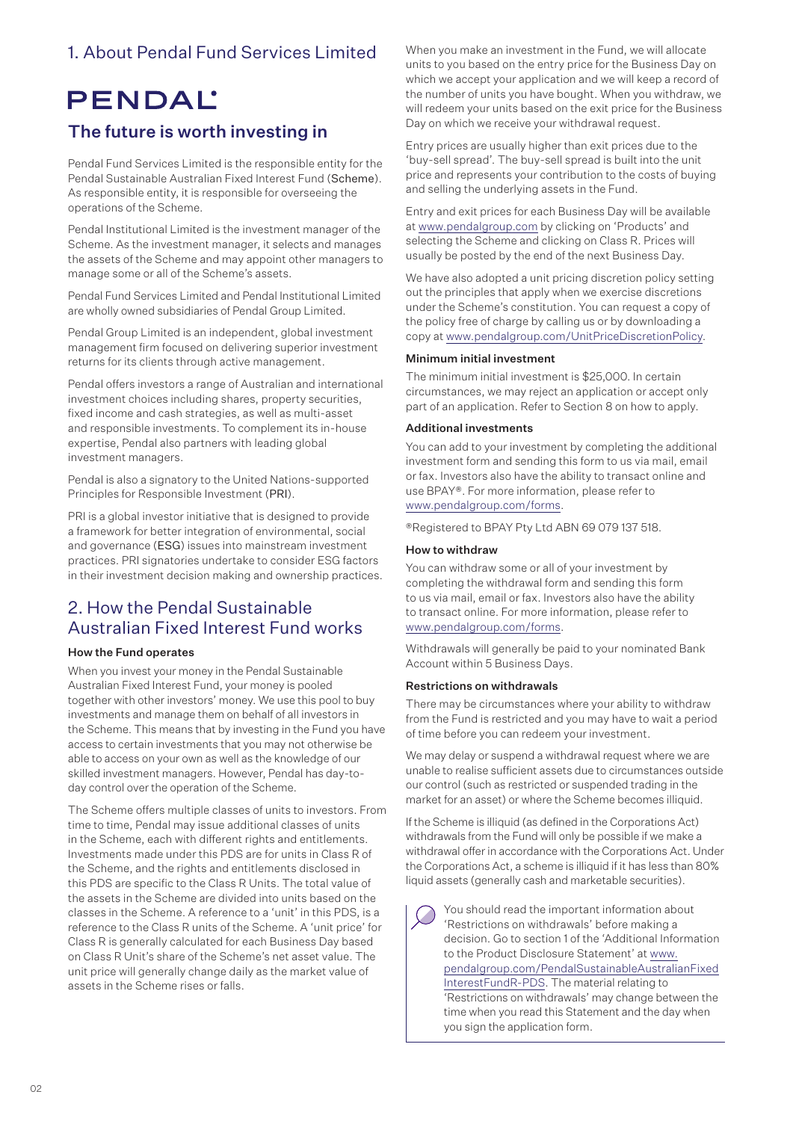# 1. About Pendal Fund Services Limited

# **PENDAL'**

# The future is worth investing in

Pendal Fund Services Limited is the responsible entity for the Pendal Sustainable Australian Fixed Interest Fund (Scheme). As responsible entity, it is responsible for overseeing the operations of the Scheme.

Pendal Institutional Limited is the investment manager of the Scheme. As the investment manager, it selects and manages the assets of the Scheme and may appoint other managers to manage some or all of the Scheme's assets.

Pendal Fund Services Limited and Pendal Institutional Limited are wholly owned subsidiaries of Pendal Group Limited.

Pendal Group Limited is an independent, global investment management firm focused on delivering superior investment returns for its clients through active management.

Pendal offers investors a range of Australian and international investment choices including shares, property securities, fixed income and cash strategies, as well as multi-asset and responsible investments. To complement its in-house expertise, Pendal also partners with leading global investment managers.

Pendal is also a signatory to the United Nations-supported Principles for Responsible Investment (PRI).

PRI is a global investor initiative that is designed to provide a framework for better integration of environmental, social and governance (ESG) issues into mainstream investment practices. PRI signatories undertake to consider ESG factors in their investment decision making and ownership practices.

# 2. How the Pendal Sustainable Australian Fixed Interest Fund works

## How the Fund operates

When you invest your money in the Pendal Sustainable Australian Fixed Interest Fund, your money is pooled together with other investors' money. We use this pool to buy investments and manage them on behalf of all investors in the Scheme. This means that by investing in the Fund you have access to certain investments that you may not otherwise be able to access on your own as well as the knowledge of our skilled investment managers. However, Pendal has day-today control over the operation of the Scheme.

The Scheme offers multiple classes of units to investors. From time to time, Pendal may issue additional classes of units in the Scheme, each with different rights and entitlements. Investments made under this PDS are for units in Class R of the Scheme, and the rights and entitlements disclosed in this PDS are specific to the Class R Units. The total value of the assets in the Scheme are divided into units based on the classes in the Scheme. A reference to a 'unit' in this PDS, is a reference to the Class R units of the Scheme. A 'unit price' for Class R is generally calculated for each Business Day based on Class R Unit's share of the Scheme's net asset value. The unit price will generally change daily as the market value of assets in the Scheme rises or falls.

When you make an investment in the Fund, we will allocate units to you based on the entry price for the Business Day on which we accept your application and we will keep a record of the number of units you have bought. When you withdraw, we will redeem your units based on the exit price for the Business Day on which we receive your withdrawal request.

Entry prices are usually higher than exit prices due to the 'buy-sell spread'. The buy-sell spread is built into the unit price and represents your contribution to the costs of buying and selling the underlying assets in the Fund.

Entry and exit prices for each Business Day will be available at www.pendalgroup.com by clicking on 'Products' and selecting the Scheme and clicking on Class R. Prices will usually be posted by the end of the next Business Day.

We have also adopted a unit pricing discretion policy setting out the principles that apply when we exercise discretions under the Scheme's constitution. You can request a copy of the policy free of charge by calling us or by downloading a copy at www.pendalgroup.com/UnitPriceDiscretionPolicy.

## Minimum initial investment

The minimum initial investment is \$25,000. In certain circumstances, we may reject an application or accept only part of an application. Refer to Section 8 on how to apply.

## Additional investments

You can add to your investment by completing the additional investment form and sending this form to us via mail, email or fax. Investors also have the ability to transact online and use BPAY®. For more information, please refer to www.pendalgroup.com/forms.

®Registered to BPAY Pty Ltd ABN 69 079 137 518.

## How to withdraw

You can withdraw some or all of your investment by completing the withdrawal form and sending this form to us via mail, email or fax. Investors also have the ability to transact online. For more information, please refer to www.pendalgroup.com/forms.

Withdrawals will generally be paid to your nominated Bank Account within 5 Business Days.

## Restrictions on withdrawals

There may be circumstances where your ability to withdraw from the Fund is restricted and you may have to wait a period of time before you can redeem your investment.

We may delay or suspend a withdrawal request where we are unable to realise sufficient assets due to circumstances outside our control (such as restricted or suspended trading in the market for an asset) or where the Scheme becomes illiquid.

If the Scheme is illiquid (as defined in the Corporations Act) withdrawals from the Fund will only be possible if we make a withdrawal offer in accordance with the Corporations Act. Under the Corporations Act, a scheme is illiquid if it has less than 80% liquid assets (generally cash and marketable securities).

You should read the important information about 'Restrictions on withdrawals' before making a decision. Go to section 1 of the 'Additional Information to the Product Disclosure Statement' at [www.](http://www.pendalgroup.com/PendalSustainableAustralianFixedInterestFundR-PDS) [pendalgroup.com/PendalSustainableAustralianFixed](http://www.pendalgroup.com/PendalSustainableAustralianFixedInterestFundR-PDS) [InterestFundR-PDS](http://www.pendalgroup.com/PendalSustainableAustralianFixedInterestFundR-PDS). The material relating to 'Restrictions on withdrawals' may change between the time when you read this Statement and the day when you sign the application form.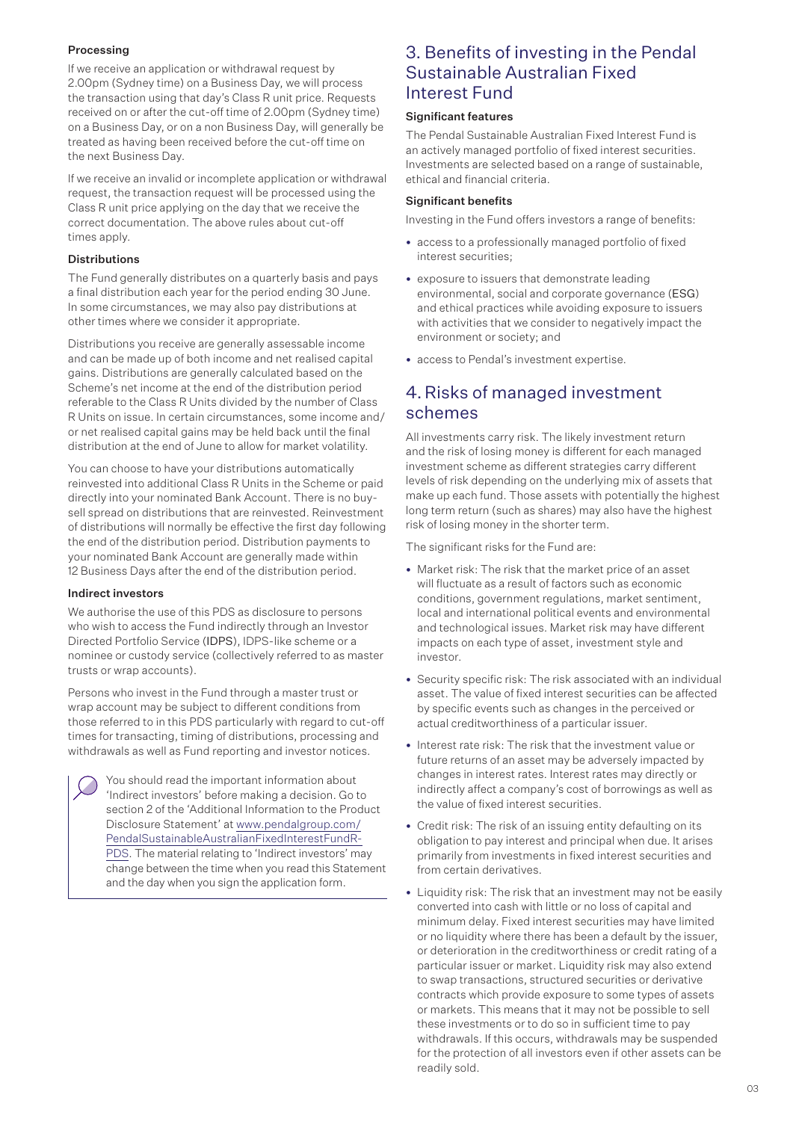## Processing

If we receive an application or withdrawal request by 2.00pm (Sydney time) on a Business Day, we will process the transaction using that day's Class R unit price. Requests received on or after the cut-off time of 2.00pm (Sydney time) on a Business Day, or on a non Business Day, will generally be treated as having been received before the cut-off time on the next Business Day.

If we receive an invalid or incomplete application or withdrawal request, the transaction request will be processed using the Class R unit price applying on the day that we receive the correct documentation. The above rules about cut-off times apply.

## Distributions

The Fund generally distributes on a quarterly basis and pays a final distribution each year for the period ending 30 June. In some circumstances, we may also pay distributions at other times where we consider it appropriate.

Distributions you receive are generally assessable income and can be made up of both income and net realised capital gains. Distributions are generally calculated based on the Scheme's net income at the end of the distribution period referable to the Class R Units divided by the number of Class R Units on issue. In certain circumstances, some income and/ or net realised capital gains may be held back until the final distribution at the end of June to allow for market volatility.

You can choose to have your distributions automatically reinvested into additional Class R Units in the Scheme or paid directly into your nominated Bank Account. There is no buysell spread on distributions that are reinvested. Reinvestment of distributions will normally be effective the first day following the end of the distribution period. Distribution payments to your nominated Bank Account are generally made within 12 Business Days after the end of the distribution period.

## Indirect investors

We authorise the use of this PDS as disclosure to persons who wish to access the Fund indirectly through an Investor Directed Portfolio Service (IDPS), IDPS-like scheme or a nominee or custody service (collectively referred to as master trusts or wrap accounts).

Persons who invest in the Fund through a master trust or wrap account may be subject to different conditions from those referred to in this PDS particularly with regard to cut-off times for transacting, timing of distributions, processing and withdrawals as well as Fund reporting and investor notices.

You should read the important information about 'Indirect investors' before making a decision. Go to section 2 of the 'Additional Information to the Product Disclosure Statement' at [www.pendalgroup.com/](http://www.pendalgroup.com/PendalSustainableAustralianFixedInterestFundR-PDS) [PendalSustainableAustralianFixedInterestFundR-](http://www.pendalgroup.com/PendalSustainableAustralianFixedInterestFundR-PDS)[PDS.](http://www.pendalgroup.com/PendalSustainableAustralianFixedInterestFundR-PDS) The material relating to 'Indirect investors' may change between the time when you read this Statement and the day when you sign the application form.

## 3. Benefits of investing in the Pendal Sustainable Australian Fixed Interest Fund

## Significant features

The Pendal Sustainable Australian Fixed Interest Fund is an actively managed portfolio of fixed interest securities. Investments are selected based on a range of sustainable, ethical and financial criteria.

## Significant benefits

Investing in the Fund offers investors a range of benefits:

- access to a professionally managed portfolio of fixed interest securities;
- exposure to issuers that demonstrate leading environmental, social and corporate governance (ESG) and ethical practices while avoiding exposure to issuers with activities that we consider to negatively impact the environment or society; and
- access to Pendal's investment expertise

# 4.Risks of managed investment schemes

All investments carry risk. The likely investment return and the risk of losing money is different for each managed investment scheme as different strategies carry different levels of risk depending on the underlying mix of assets that make up each fund. Those assets with potentially the highest long term return (such as shares) may also have the highest risk of losing money in the shorter term.

The significant risks for the Fund are:

- Market risk: The risk that the market price of an asset will fluctuate as a result of factors such as economic conditions, government regulations, market sentiment, local and international political events and environmental and technological issues. Market risk may have different impacts on each type of asset, investment style and investor.
- Security specific risk: The risk associated with an individual asset. The value of fixed interest securities can be affected by specific events such as changes in the perceived or actual creditworthiness of a particular issuer.
- Interest rate risk: The risk that the investment value or future returns of an asset may be adversely impacted by changes in interest rates. Interest rates may directly or indirectly affect a company's cost of borrowings as well as the value of fixed interest securities.
- Credit risk: The risk of an issuing entity defaulting on its obligation to pay interest and principal when due. It arises primarily from investments in fixed interest securities and from certain derivatives.
- Liquidity risk: The risk that an investment may not be easily converted into cash with little or no loss of capital and minimum delay. Fixed interest securities may have limited or no liquidity where there has been a default by the issuer, or deterioration in the creditworthiness or credit rating of a particular issuer or market. Liquidity risk may also extend to swap transactions, structured securities or derivative contracts which provide exposure to some types of assets or markets. This means that it may not be possible to sell these investments or to do so in sufficient time to pay withdrawals. If this occurs, withdrawals may be suspended for the protection of all investors even if other assets can be readily sold.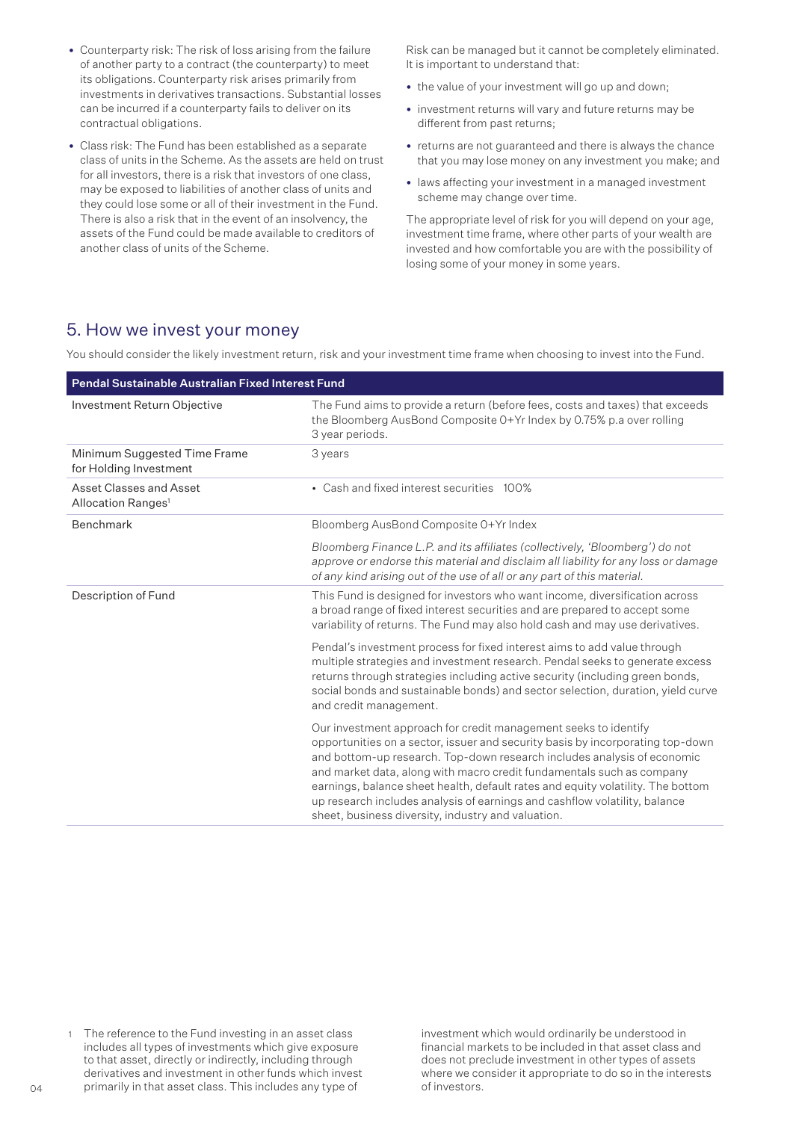- Counterparty risk: The risk of loss arising from the failure of another party to a contract (the counterparty) to meet its obligations. Counterparty risk arises primarily from investments in derivatives transactions. Substantial losses can be incurred if a counterparty fails to deliver on its contractual obligations.
- Class risk: The Fund has been established as a separate class of units in the Scheme. As the assets are held on trust for all investors, there is a risk that investors of one class, may be exposed to liabilities of another class of units and they could lose some or all of their investment in the Fund. There is also a risk that in the event of an insolvency, the assets of the Fund could be made available to creditors of another class of units of the Scheme.

Risk can be managed but it cannot be completely eliminated. It is important to understand that:

- the value of your investment will go up and down;
- investment returns will vary and future returns may be different from past returns;
- returns are not guaranteed and there is always the chance that you may lose money on any investment you make; and
- laws affecting your investment in a managed investment scheme may change over time.

The appropriate level of risk for you will depend on your age, investment time frame, where other parts of your wealth are invested and how comfortable you are with the possibility of losing some of your money in some years.

## 5. How we invest your money

You should consider the likely investment return, risk and your investment time frame when choosing to invest into the Fund.

| Pendal Sustainable Australian Fixed Interest Fund         |                                                                                                                                                                                                                                                                                                                                                                                                                                                                                                                              |  |
|-----------------------------------------------------------|------------------------------------------------------------------------------------------------------------------------------------------------------------------------------------------------------------------------------------------------------------------------------------------------------------------------------------------------------------------------------------------------------------------------------------------------------------------------------------------------------------------------------|--|
| Investment Return Objective                               | The Fund aims to provide a return (before fees, costs and taxes) that exceeds<br>the Bloomberg AusBond Composite 0+Yr Index by 0.75% p.a over rolling<br>3 year periods.                                                                                                                                                                                                                                                                                                                                                     |  |
| Minimum Suggested Time Frame<br>for Holding Investment    | 3 years                                                                                                                                                                                                                                                                                                                                                                                                                                                                                                                      |  |
| Asset Classes and Asset<br>Allocation Ranges <sup>1</sup> | • Cash and fixed interest securities 100%                                                                                                                                                                                                                                                                                                                                                                                                                                                                                    |  |
| Benchmark                                                 | Bloomberg AusBond Composite O+Yr Index                                                                                                                                                                                                                                                                                                                                                                                                                                                                                       |  |
|                                                           | Bloomberg Finance L.P. and its affiliates (collectively, 'Bloomberg') do not<br>approve or endorse this material and disclaim all liability for any loss or damage<br>of any kind arising out of the use of all or any part of this material.                                                                                                                                                                                                                                                                                |  |
| Description of Fund                                       | This Fund is designed for investors who want income, diversification across<br>a broad range of fixed interest securities and are prepared to accept some<br>variability of returns. The Fund may also hold cash and may use derivatives.                                                                                                                                                                                                                                                                                    |  |
|                                                           | Pendal's investment process for fixed interest aims to add value through<br>multiple strategies and investment research. Pendal seeks to generate excess<br>returns through strategies including active security (including green bonds,<br>social bonds and sustainable bonds) and sector selection, duration, yield curve<br>and credit management.                                                                                                                                                                        |  |
|                                                           | Our investment approach for credit management seeks to identify<br>opportunities on a sector, issuer and security basis by incorporating top-down<br>and bottom-up research. Top-down research includes analysis of economic<br>and market data, along with macro credit fundamentals such as company<br>earnings, balance sheet health, default rates and equity volatility. The bottom<br>up research includes analysis of earnings and cashflow volatility, balance<br>sheet, business diversity, industry and valuation. |  |

1 The reference to the Fund investing in an asset class includes all types of investments which give exposure to that asset, directly or indirectly, including through derivatives and investment in other funds which invest primarily in that asset class. This includes any type of

investment which would ordinarily be understood in financial markets to be included in that asset class and does not preclude investment in other types of assets where we consider it appropriate to do so in the interests of investors.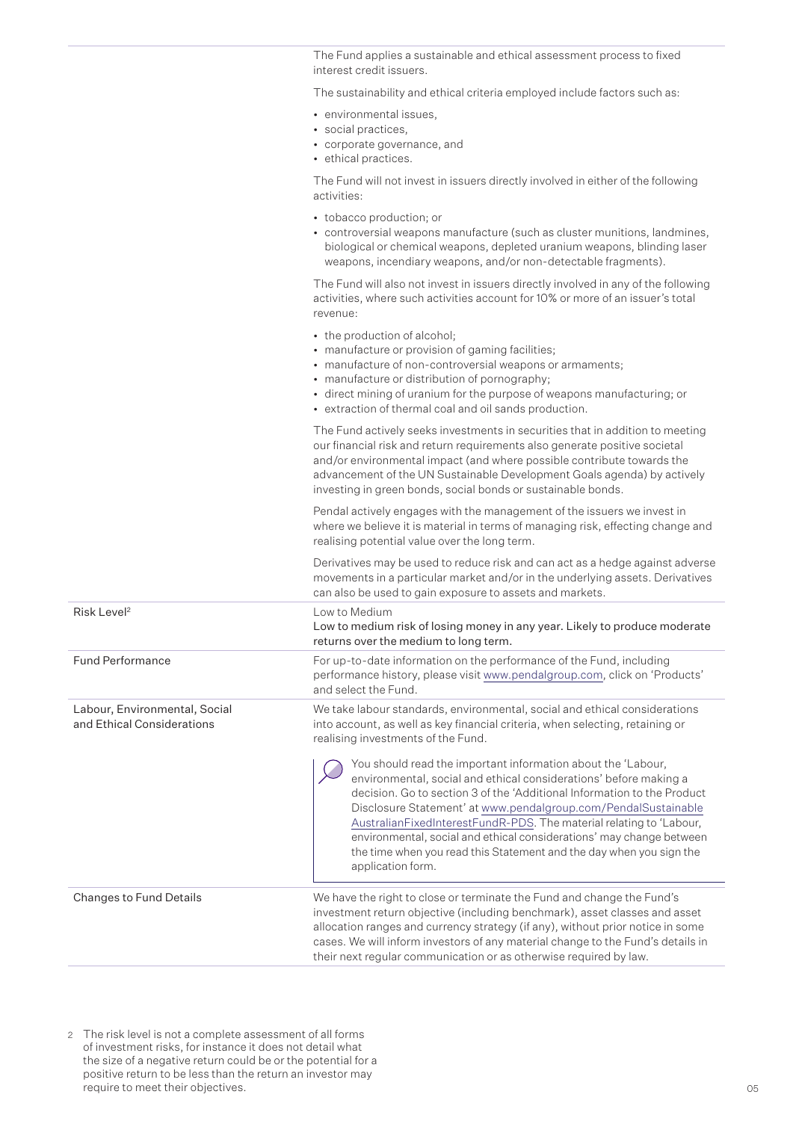The Fund applies a sustainable and ethical assessment process to fixed interest credit issuers.

The sustainability and ethical criteria employed include factors such as:

- environmental issues,
- social practices,
- corporate governance, and
- ethical practices.

The Fund will not invest in issuers directly involved in either of the following activities:

- tobacco production; or
- controversial weapons manufacture (such as cluster munitions, landmines, biological or chemical weapons, depleted uranium weapons, blinding laser weapons, incendiary weapons, and/or non-detectable fragments).

The Fund will also not invest in issuers directly involved in any of the following activities, where such activities account for 10% or more of an issuer's total revenue:

- the production of alcohol;
- manufacture or provision of gaming facilities;
- manufacture of non-controversial weapons or armaments;
- manufacture or distribution of pornography;
- direct mining of uranium for the purpose of weapons manufacturing; or
- extraction of thermal coal and oil sands production.

The Fund actively seeks investments in securities that in addition to meeting our financial risk and return requirements also generate positive societal and/or environmental impact (and where possible contribute towards the advancement of the UN Sustainable Development Goals agenda) by actively investing in green bonds, social bonds or sustainable bonds.

Pendal actively engages with the management of the issuers we invest in where we believe it is material in terms of managing risk, effecting change and realising potential value over the long term.

Derivatives may be used to reduce risk and can act as a hedge against adverse movements in a particular market and/or in the underlying assets. Derivatives can also be used to gain exposure to assets and markets.

| Risk Level <sup>2</sup>                                     | Low to Medium<br>Low to medium risk of losing money in any year. Likely to produce moderate<br>returns over the medium to long term.                                                                                                                                                                                                                                                                                                                      |  |
|-------------------------------------------------------------|-----------------------------------------------------------------------------------------------------------------------------------------------------------------------------------------------------------------------------------------------------------------------------------------------------------------------------------------------------------------------------------------------------------------------------------------------------------|--|
| <b>Fund Performance</b>                                     | For up-to-date information on the performance of the Fund, including<br>performance history, please visit www.pendalgroup.com, click on 'Products'<br>and select the Fund.                                                                                                                                                                                                                                                                                |  |
| Labour, Environmental, Social<br>and Ethical Considerations | We take labour standards, environmental, social and ethical considerations<br>into account, as well as key financial criteria, when selecting, retaining or<br>realising investments of the Fund.<br>You should read the important information about the 'Labour,                                                                                                                                                                                         |  |
|                                                             | environmental, social and ethical considerations' before making a<br>decision. Go to section 3 of the 'Additional Information to the Product<br>Disclosure Statement' at www.pendalgroup.com/PendalSustainable<br>AustralianFixedInterestFundR-PDS. The material relating to 'Labour,<br>environmental, social and ethical considerations' may change between<br>the time when you read this Statement and the day when you sign the<br>application form. |  |
| Changes to Fund Details                                     | We have the right to close or terminate the Fund and change the Fund's<br>investment return objective (including benchmark), asset classes and asset<br>allocation ranges and currency strategy (if any), without prior notice in some<br>cases. We will inform investors of any material change to the Fund's details in<br>their next requiar communication or as otherwise required by law.                                                            |  |

<sup>2</sup> The risk level is not a complete assessment of all forms of investment risks, for instance it does not detail what the size of a negative return could be or the potential for a positive return to be less than the return an investor may require to meet their objectives.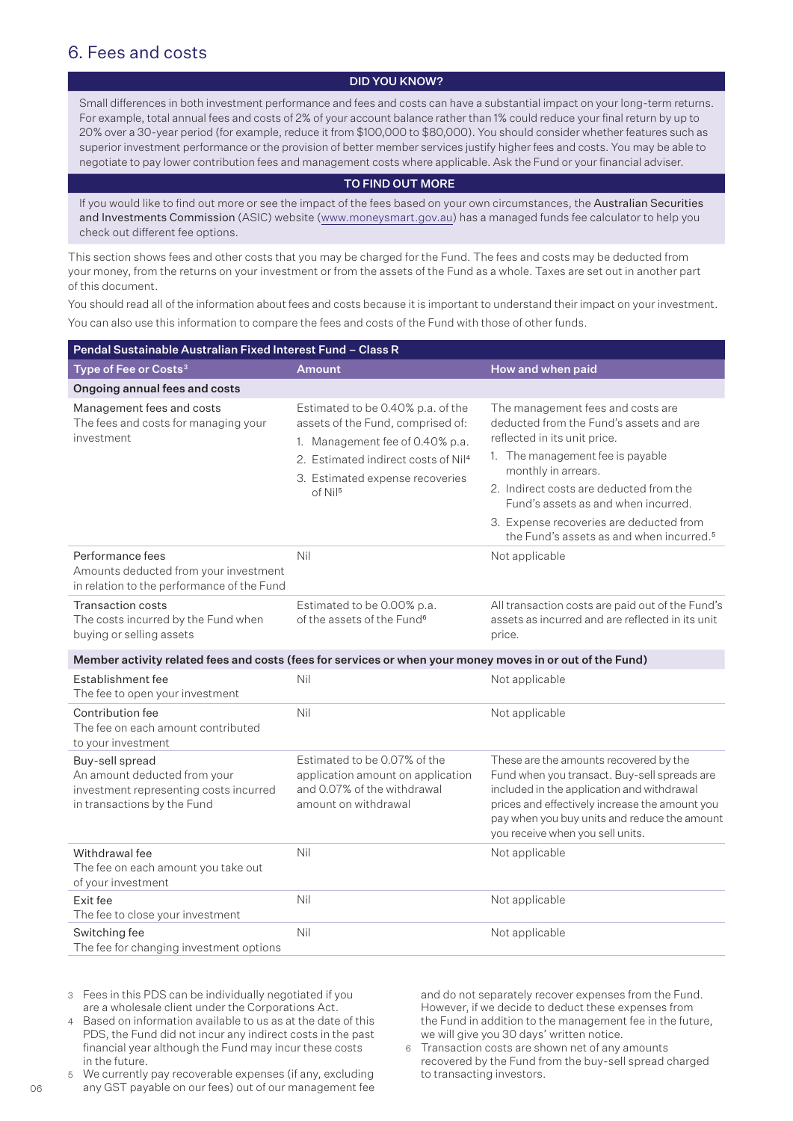# 6. Fees and costs

## DID YOU KNOW?

Small differences in both investment performance and fees and costs can have a substantial impact on your long-term returns. For example, total annual fees and costs of 2% of your account balance rather than 1% could reduce your final return by up to 20% over a 30-year period (for example, reduce it from \$100,000 to \$80,000). You should consider whether features such as superior investment performance or the provision of better member services justify higher fees and costs. You may be able to negotiate to pay lower contribution fees and management costs where applicable. Ask the Fund or your financial adviser.

#### TO FIND OUT MORE

If you would like to find out more or see the impact of the fees based on your own circumstances, the Australian Securities and Investments Commission (ASIC) website (www.moneysmart.gov.au) has a managed funds fee calculator to help you check out different fee options.

This section shows fees and other costs that you may be charged for the Fund. The fees and costs may be deducted from your money, from the returns on your investment or from the assets of the Fund as a whole. Taxes are set out in another part of this document.

You should read all of the information about fees and costs because it is important to understand their impact on your investment. You can also use this information to compare the fees and costs of the Fund with those of other funds.

| Pendal Sustainable Australian Fixed Interest Fund - Class R                                                              |                                                                                                                                                                                                                 |                                                                                                                                                                                                                                                                                                                                                              |  |  |
|--------------------------------------------------------------------------------------------------------------------------|-----------------------------------------------------------------------------------------------------------------------------------------------------------------------------------------------------------------|--------------------------------------------------------------------------------------------------------------------------------------------------------------------------------------------------------------------------------------------------------------------------------------------------------------------------------------------------------------|--|--|
| Type of Fee or Costs <sup>3</sup>                                                                                        | <b>Amount</b>                                                                                                                                                                                                   | How and when paid                                                                                                                                                                                                                                                                                                                                            |  |  |
| Ongoing annual fees and costs                                                                                            |                                                                                                                                                                                                                 |                                                                                                                                                                                                                                                                                                                                                              |  |  |
| Management fees and costs<br>The fees and costs for managing your<br>investment                                          | Estimated to be 0.40% p.a. of the<br>assets of the Fund, comprised of:<br>1. Management fee of 0.40% p.a.<br>2. Estimated indirect costs of Nil <sup>4</sup><br>3. Estimated expense recoveries<br>$of$ Nil $5$ | The management fees and costs are<br>deducted from the Fund's assets and are<br>reflected in its unit price.<br>1. The management fee is payable<br>monthly in arrears.<br>2. Indirect costs are deducted from the<br>Fund's assets as and when incurred.<br>3. Expense recoveries are deducted from<br>the Fund's assets as and when incurred. <sup>5</sup> |  |  |
| Performance fees<br>Amounts deducted from your investment<br>in relation to the performance of the Fund                  | Nil                                                                                                                                                                                                             | Not applicable                                                                                                                                                                                                                                                                                                                                               |  |  |
| <b>Transaction costs</b><br>The costs incurred by the Fund when<br>buying or selling assets                              | Estimated to be 0.00% p.a.<br>of the assets of the Fund <sup>6</sup>                                                                                                                                            | All transaction costs are paid out of the Fund's<br>assets as incurred and are reflected in its unit<br>price.                                                                                                                                                                                                                                               |  |  |
| Member activity related fees and costs (fees for services or when your money moves in or out of the Fund)                |                                                                                                                                                                                                                 |                                                                                                                                                                                                                                                                                                                                                              |  |  |
| Establishment fee<br>The fee to open your investment                                                                     | Nil                                                                                                                                                                                                             | Not applicable                                                                                                                                                                                                                                                                                                                                               |  |  |
| Contribution fee<br>The fee on each amount contributed<br>to your investment                                             | Nil                                                                                                                                                                                                             | Not applicable                                                                                                                                                                                                                                                                                                                                               |  |  |
| Buy-sell spread<br>An amount deducted from your<br>investment representing costs incurred<br>in transactions by the Fund | Estimated to be 0.07% of the<br>application amount on application<br>and 0.07% of the withdrawal<br>amount on withdrawal                                                                                        | These are the amounts recovered by the<br>Fund when you transact. Buy-sell spreads are<br>included in the application and withdrawal<br>prices and effectively increase the amount you<br>pay when you buy units and reduce the amount<br>you receive when you sell units.                                                                                   |  |  |
| Withdrawal fee<br>The fee on each amount you take out<br>of your investment                                              | Nil                                                                                                                                                                                                             | Not applicable                                                                                                                                                                                                                                                                                                                                               |  |  |
| Exit fee<br>The fee to close your investment                                                                             | Nil                                                                                                                                                                                                             | Not applicable                                                                                                                                                                                                                                                                                                                                               |  |  |
| Switching fee<br>The fee for changing investment options                                                                 | Nil                                                                                                                                                                                                             | Not applicable                                                                                                                                                                                                                                                                                                                                               |  |  |

3 Fees in this PDS can be individually negotiated if you are a wholesale client under the Corporations Act.

4 Based on information available to us as at the date of this PDS, the Fund did not incur any indirect costs in the past financial year although the Fund may incur these costs in the future.

5 We currently pay recoverable expenses (if any, excluding any GST payable on our fees) out of our management fee and do not separately recover expenses from the Fund. However, if we decide to deduct these expenses from the Fund in addition to the management fee in the future, we will give you 30 days' written notice.

6 Transaction costs are shown net of any amounts recovered by the Fund from the buy-sell spread charged to transacting investors.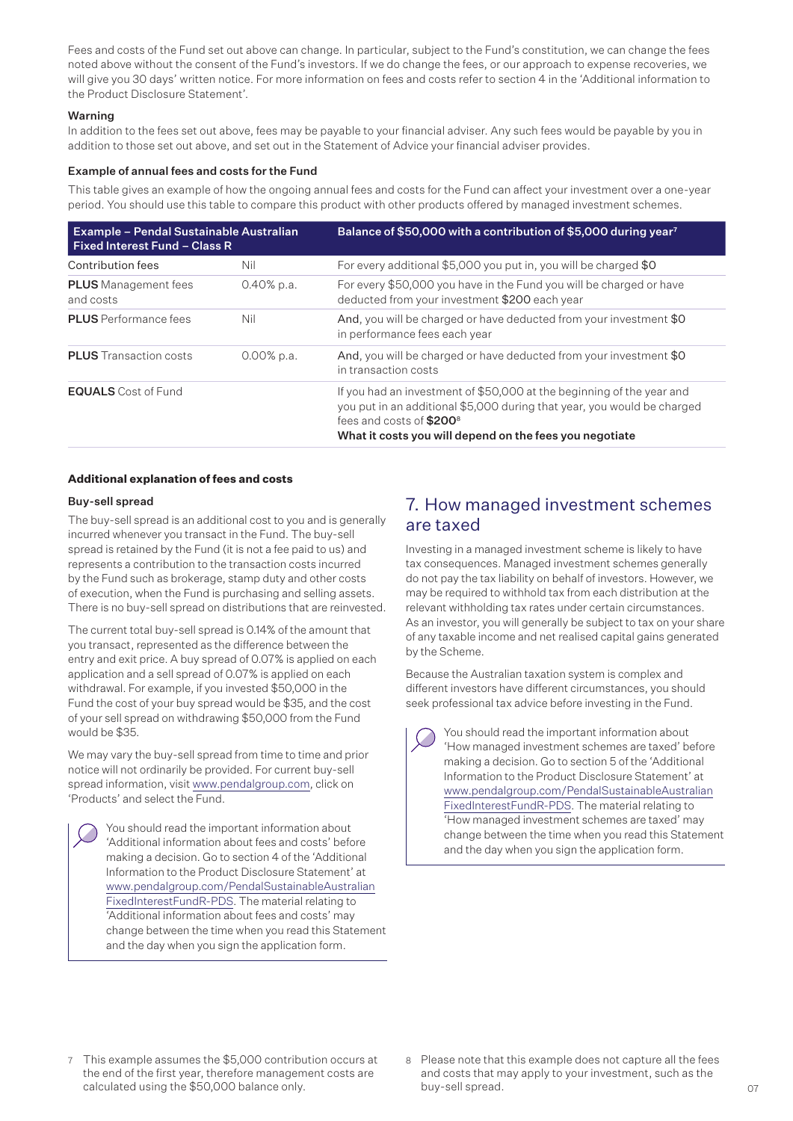Fees and costs of the Fund set out above can change. In particular, subject to the Fund's constitution, we can change the fees noted above without the consent of the Fund's investors. If we do change the fees, or our approach to expense recoveries, we will give you 30 days' written notice. For more information on fees and costs refer to section 4 in the 'Additional information to the Product Disclosure Statement'.

### Warning

In addition to the fees set out above, fees may be payable to your financial adviser. Any such fees would be payable by you in addition to those set out above, and set out in the Statement of Advice your financial adviser provides.

## Example of annual fees and costs for the Fund

This table gives an example of how the ongoing annual fees and costs for the Fund can affect your investment over a one-year period. You should use this table to compare this product with other products offered by managed investment schemes.

| <b>Example - Pendal Sustainable Australian</b><br><b>Fixed Interest Fund - Class R</b> |               | Balance of \$50,000 with a contribution of \$5,000 during year <sup>7</sup>                                                                                                                                                                         |
|----------------------------------------------------------------------------------------|---------------|-----------------------------------------------------------------------------------------------------------------------------------------------------------------------------------------------------------------------------------------------------|
| Contribution fees                                                                      | Nil           | For every additional \$5,000 you put in, you will be charged \$0                                                                                                                                                                                    |
| <b>PLUS</b> Management fees<br>and costs                                               | $0.40\%$ p.a. | For every \$50,000 you have in the Fund you will be charged or have<br>deducted from your investment \$200 each year                                                                                                                                |
| <b>PLUS</b> Performance fees                                                           | Nil           | And, you will be charged or have deducted from your investment \$0<br>in performance fees each year                                                                                                                                                 |
| <b>PLUS</b> Transaction costs                                                          | $0.00\%$ p.a. | And, you will be charged or have deducted from your investment \$0<br>in transaction costs                                                                                                                                                          |
| <b>EQUALS</b> Cost of Fund                                                             |               | If you had an investment of \$50,000 at the beginning of the year and<br>you put in an additional \$5,000 during that year, you would be charged<br>fees and costs of \$200 <sup>8</sup><br>What it costs you will depend on the fees you negotiate |

## **Additional explanation of fees and costs**

### Buy-sell spread

The buy-sell spread is an additional cost to you and is generally incurred whenever you transact in the Fund. The buy-sell spread is retained by the Fund (it is not a fee paid to us) and represents a contribution to the transaction costs incurred by the Fund such as brokerage, stamp duty and other costs of execution, when the Fund is purchasing and selling assets. There is no buy-sell spread on distributions that are reinvested.

The current total buy-sell spread is 0.14% of the amount that you transact, represented as the difference between the entry and exit price. A buy spread of 0.07% is applied on each application and a sell spread of 0.07% is applied on each withdrawal. For example, if you invested \$50,000 in the Fund the cost of your buy spread would be \$35, and the cost of your sell spread on withdrawing \$50,000 from the Fund would be \$35.

We may vary the buy-sell spread from time to time and prior notice will not ordinarily be provided. For current buy-sell spread information, visit www.pendalgroup.com, click on 'Products' and select the Fund.

You should read the important information about 'Additional information about fees and costs' before making a decision. Go to section 4 of the 'Additional Information to the Product Disclosure Statement' at [www.pendalgroup.com/PendalSustainableAustralian](http://www.pendalgroup.com/PendalSustainableAustralianFixedInterestFundR-PDS) [FixedInterestFundR-PDS](http://www.pendalgroup.com/PendalSustainableAustralianFixedInterestFundR-PDS). The material relating to 'Additional information about fees and costs' may change between the time when you read this Statement and the day when you sign the application form.

## 7. How managed investment schemes are taxed

Investing in a managed investment scheme is likely to have tax consequences. Managed investment schemes generally do not pay the tax liability on behalf of investors. However, we may be required to withhold tax from each distribution at the relevant withholding tax rates under certain circumstances. As an investor, you will generally be subject to tax on your share of any taxable income and net realised capital gains generated by the Scheme.

Because the Australian taxation system is complex and different investors have different circumstances, you should seek professional tax advice before investing in the Fund.

You should read the important information about 'How managed investment schemes are taxed' before making a decision. Go to section 5 of the 'Additional Information to the Product Disclosure Statement' at [www.pendalgroup.com/PendalSustainableAustralian](http://www.pendalgroup.com/PendalSustainableAustralianFixedInterestFundR-PDS) [FixedInterestFundR-PDS.](http://www.pendalgroup.com/PendalSustainableAustralianFixedInterestFundR-PDS) The material relating to 'How managed investment schemes are taxed' may change between the time when you read this Statement and the day when you sign the application form.

- 7 This example assumes the \$5,000 contribution occurs at the end of the first year, therefore management costs are calculated using the \$50,000 balance only.
- 8 Please note that this example does not capture all the fees and costs that may apply to your investment, such as the buy-sell spread.